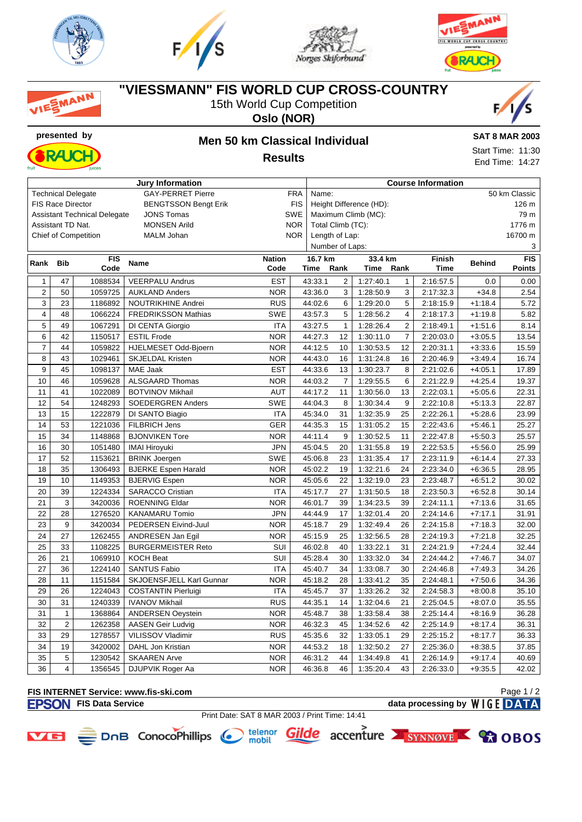

MANN







### **"VIESSMANN" FIS WORLD CUP CROSS-COUNTRY**

15th World Cup Competition

**Oslo (NOR)**



## **presented by Men 50 km Classical Individual Results**



**SAT 8 MAR 2003**

Start Time: 11:30 End Time: 14:27

|                |                          |                                     | <b>Jury Information</b>     |                     |                                  |                             |           |                | <b>Course Information</b> |               |               |  |
|----------------|--------------------------|-------------------------------------|-----------------------------|---------------------|----------------------------------|-----------------------------|-----------|----------------|---------------------------|---------------|---------------|--|
|                |                          | <b>Technical Delegate</b>           | <b>GAY-PERRET Pierre</b>    | <b>FRA</b><br>Name: |                                  |                             |           |                |                           | 50 km Classic |               |  |
|                | <b>FIS Race Director</b> |                                     | <b>BENGTSSON Bengt Erik</b> | <b>FIS</b>          | Height Difference (HD):<br>126 m |                             |           |                |                           |               |               |  |
|                |                          | <b>Assistant Technical Delegate</b> | <b>JONS Tomas</b>           | SWE                 |                                  | Maximum Climb (MC):<br>79 m |           |                |                           |               |               |  |
|                | Assistant TD Nat.        |                                     | <b>MONSEN Arild</b>         |                     | <b>NOR</b><br>Total Climb (TC):  |                             |           |                |                           | 1776 m        |               |  |
|                |                          | <b>Chief of Competition</b>         | MALM Johan                  | <b>NOR</b>          |                                  | Length of Lap:              |           |                |                           |               | 16700 m       |  |
|                |                          |                                     |                             |                     | Number of Laps:<br>3             |                             |           |                |                           |               |               |  |
| Rank           | <b>FIS</b><br><b>Bib</b> |                                     | <b>Name</b>                 | <b>Nation</b>       |                                  | 16.7 km<br>33.4 km          |           |                | Finish                    | <b>Behind</b> | <b>FIS</b>    |  |
|                |                          | Code                                |                             | Code                | Time                             | Rank                        | Time      | Rank           | <b>Time</b>               |               | <b>Points</b> |  |
| $\mathbf{1}$   | 47                       | 1088534                             | <b>VEERPALU Andrus</b>      | <b>EST</b>          | 43:33.1                          | 2                           | 1:27:40.1 | $\mathbf{1}$   | 2:16:57.5                 | 0.0           | 0.00          |  |
| $\overline{2}$ | 50                       | 1059725                             | <b>AUKLAND Anders</b>       | <b>NOR</b>          | 43:36.0                          | 3                           | 1:28:50.9 | 3              | 2:17:32.3                 | $+34.8$       | 2.54          |  |
| 3              | 23                       | 1186892                             | NOUTRIKHINE Andrei          | <b>RUS</b>          | 44:02.6                          | 6                           | 1:29:20.0 | 5              | 2:18:15.9                 | $+1:18.4$     | 5.72          |  |
| 4              | 48                       | 1066224                             | <b>FREDRIKSSON Mathias</b>  | <b>SWE</b>          | 43:57.3                          | 5                           | 1:28:56.2 | 4              | 2:18:17.3                 | $+1:19.8$     | 5.82          |  |
| 5              | 49                       | 1067291                             | DI CENTA Giorgio            | <b>ITA</b>          | 43:27.5                          | $\mathbf{1}$                | 1:28:26.4 | $\overline{2}$ | 2:18:49.1                 | $+1:51.6$     | 8.14          |  |
| 6              | 42                       | 1150517                             | <b>ESTIL Frode</b>          | <b>NOR</b>          | 44:27.3                          | 12                          | 1:30:11.0 | $\overline{7}$ | 2:20:03.0                 | $+3:05.5$     | 13.54         |  |
| $\overline{7}$ | 44                       | 1059822                             | HJELMESET Odd-Bjoern        | <b>NOR</b>          | 44:12.5                          | 10                          | 1:30:53.5 | 12             | 2:20:31.1                 | $+3:33.6$     | 15.59         |  |
| 8              | 43                       | 1029461                             | <b>SKJELDAL Kristen</b>     | <b>NOR</b>          | 44:43.0                          | 16                          | 1:31:24.8 | 16             | 2:20:46.9                 | $+3:49.4$     | 16.74         |  |
| 9              | 45                       | 1098137                             | <b>MAE Jaak</b>             | <b>EST</b>          | 44:33.6                          | 13                          | 1:30:23.7 | 8              | 2:21:02.6                 | $+4:05.1$     | 17.89         |  |
| 10             | 46                       | 1059628                             | ALSGAARD Thomas             | <b>NOR</b>          | 44:03.2                          | $\overline{7}$              | 1:29:55.5 | 6              | 2:21:22.9                 | $+4:25.4$     | 19.37         |  |
| 11             | 41                       | 1022089                             | <b>BOTVINOV Mikhail</b>     | <b>AUT</b>          | 44:17.2                          | 11                          | 1:30:56.0 | 13             | 2:22:03.1                 | $+5:05.6$     | 22.31         |  |
| 12             | 54                       | 1248293                             | <b>SOEDERGREN Anders</b>    | <b>SWE</b>          | 44:04.3                          | 8                           | 1:30:34.4 | 9              | 2:22:10.8                 | $+5:13.3$     | 22.87         |  |
| 13             | 15                       | 1222879                             | DI SANTO Biagio             | <b>ITA</b>          | 45:34.0                          | 31                          | 1:32:35.9 | 25             | 2:22:26.1                 | $+5:28.6$     | 23.99         |  |
| 14             | 53                       | 1221036                             | <b>FILBRICH Jens</b>        | <b>GER</b>          | 44:35.3                          | 15                          | 1:31:05.2 | 15             | 2:22:43.6                 | $+5:46.1$     | 25.27         |  |
| 15             | 34                       | 1148868                             | <b>BJONVIKEN Tore</b>       | <b>NOR</b>          | 44:11.4                          | 9                           | 1:30:52.5 | 11             | 2:22:47.8                 | $+5:50.3$     | 25.57         |  |
| 16             | 30                       | 1051480                             | <b>IMAI Hiroyuki</b>        | <b>JPN</b>          | 45:04.5                          | 20                          | 1:31:55.8 | 19             | 2:22:53.5                 | $+5:56.0$     | 25.99         |  |
| 17             | 52                       | 1153621                             | <b>BRINK Joergen</b>        | SWE                 | 45:06.8                          | 23                          | 1:31:35.4 | 17             | 2:23:11.9                 | $+6:14.4$     | 27.33         |  |
| 18             | 35                       | 1306493                             | <b>BJERKE Espen Harald</b>  | <b>NOR</b>          | 45:02.2                          | 19                          | 1:32:21.6 | 24             | 2:23:34.0                 | $+6:36.5$     | 28.95         |  |
| 19             | 10                       | 1149353                             | <b>BJERVIG Espen</b>        | <b>NOR</b>          | 45:05.6                          | 22                          | 1:32:19.0 | 23             | 2:23:48.7                 | $+6:51.2$     | 30.02         |  |
| 20             | 39                       | 1224334                             | <b>SARACCO Cristian</b>     | <b>ITA</b>          | 45:17.7                          | 27                          | 1:31:50.5 | 18             | 2:23:50.3                 | $+6:52.8$     | 30.14         |  |
| 21             | 3                        | 3420036                             | <b>ROENNING Eldar</b>       | <b>NOR</b>          | 46:01.7                          | 39                          | 1:34:23.5 | 39             | 2:24:11.1                 | $+7:13.6$     | 31.65         |  |
| 22             | 28                       | 1276520                             | <b>KANAMARU Tomio</b>       | <b>JPN</b>          | 44:44.9                          | 17                          | 1:32:01.4 | 20             | 2:24:14.6                 | $+7:17.1$     | 31.91         |  |
| 23             | 9                        | 3420034                             | PEDERSEN Eivind-Juul        | <b>NOR</b>          | 45:18.7                          | 29                          | 1:32:49.4 | 26             | 2:24:15.8                 | $+7:18.3$     | 32.00         |  |
| 24             | 27                       | 1262455                             | ANDRESEN Jan Egil           | <b>NOR</b>          | 45:15.9                          | 25                          | 1:32:56.5 | 28             | 2:24:19.3                 | $+7:21.8$     | 32.25         |  |
| 25             | 33                       | 1108225                             | <b>BURGERMEISTER Reto</b>   | SUI                 | 46:02.8                          | 40                          | 1:33:22.1 | 31             | 2:24:21.9                 | $+7:24.4$     | 32.44         |  |
| 26             | 21                       | 1069910                             | <b>KOCH Beat</b>            | SUI                 | 45:28.4                          | 30                          | 1:33:32.0 | 34             | 2:24:44.2                 | $+7:46.7$     | 34.07         |  |
| 27             | 36                       | 1224140                             | <b>SANTUS Fabio</b>         | <b>ITA</b>          | 45:40.7                          | 34                          | 1:33:08.7 | 30             | 2:24:46.8                 | $+7:49.3$     | 34.26         |  |
| 28             | 11                       | 1151584                             | SKJOENSFJELL Karl Gunnar    | <b>NOR</b>          | 45:18.2                          | 28                          | 1:33:41.2 | 35             | 2:24:48.1                 | $+7:50.6$     | 34.36         |  |
| 29             | 26                       | 1224043                             | <b>COSTANTIN Pierluigi</b>  | <b>ITA</b>          | 45:45.7                          | 37                          | 1:33:26.2 | 32             | 2:24:58.3                 | $+8:00.8$     | 35.10         |  |
| 30             | 31                       | 1240339                             | <b>IVANOV Mikhail</b>       | <b>RUS</b>          | 44:35.1                          | 14                          | 1:32:04.6 | 21             | 2:25:04.5                 | $+8:07.0$     | 35.55         |  |
| 31             | $\mathbf{1}$             | 1368864                             | ANDERSEN Oeystein           | <b>NOR</b>          | 45:48.7                          | 38                          | 1:33:58.4 | 38             | 2:25:14.4                 | $+8:16.9$     | 36.28         |  |
| 32             | $\overline{2}$           | 1262358                             | <b>AASEN Geir Ludvig</b>    | <b>NOR</b>          | 46:32.3                          | 45                          | 1:34:52.6 | 42             | 2:25:14.9                 | $+8:17.4$     | 36.31         |  |
| 33             | 29                       | 1278557                             | VILISSOV Vladimir           | <b>RUS</b>          | 45:35.6                          | 32                          | 1:33:05.1 | 29             | 2:25:15.2                 | $+8:17.7$     | 36.33         |  |
| 34             | 19                       | 3420002                             | DAHL Jon Kristian           | <b>NOR</b>          | 44:53.2                          | 18                          | 1:32:50.2 | 27             | 2:25:36.0                 | $+8:38.5$     | 37.85         |  |
| 35             | 5                        | 1230542                             | <b>SKAAREN Arve</b>         | <b>NOR</b>          | 46:31.2                          | 44                          | 1:34:49.8 | 41             | 2:26:14.9                 | $+9:17.4$     | 40.69         |  |
| 36             | $\overline{4}$           | 1356545                             | <b>DJUPVIK Roger Aa</b>     | <b>NOR</b>          | 46:36.8                          | 46                          | 1:35:20.4 | 43             | 2:26:33.0                 | $+9:35.5$     | 42.02         |  |

#### **FIS INTERNET Service: www.fis-ski.com FISON** FIS Data Service data processing by WIGE DATA

Page 1 / 2



- Print Date: SAT 8 MAR 2003 / Print Time: 14:41
	-